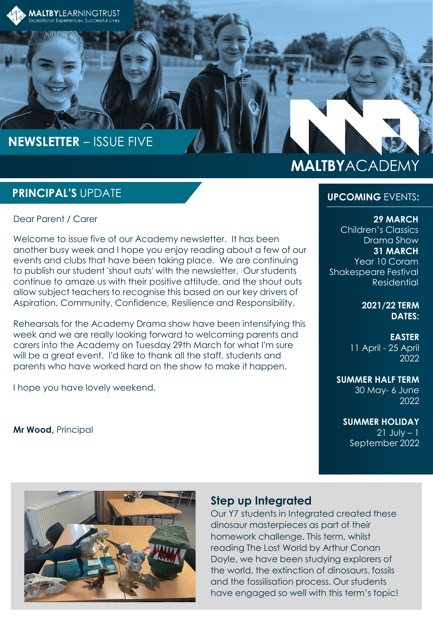

# **NEWSLETTER** – ISSUE FIVE

# **MALTBYACADEMY**

### **PRINCIPAL'S** UPDATE

Dear Parent / Carer

Welcome to issue five of our Academy newsletter. It has been another busy week and I hope you enjoy reading about a few of our events and clubs that have been taking place. We are continuing to publish our student 'shout outs' with the newsletter. Our students continue to amaze us with their positive attitude, and the shout outs allow subject teachers to recognise this based on our key drivers of Aspiration, Community, Confidence, Resilience and Responsibility.

Rehearsals for the Academy Drama show have been intensifying this week and we are really looking forward to welcoming parents and carers into the Academy on Tuesday 29th March for what I'm sure will be a great event. I'd like to thank all the staff, students and parents who have worked hard on the show to make it happen.

I hope you have lovely weekend.

**Mr Wood,** Principal

#### **UPCOMING** EVENTS**:**

**29 MARCH** 

Children's Classics Drama Show **31 MARCH**  Year 10 Coram Shakespeare Festival Residential

> **2021/22 TERM DATES:**

**EASTER** 11 April - 25 April 2022

**SUMMER HALF TERM** 30 May- 6 June 2022

**SUMMER HOLIDAY**  $21$  July  $-1$ September 2022



### **Step up Integrated**

Our Y7 students in Integrated created these dinosaur masterpieces as part of their homework challenge. This term, whilst reading The Lost World by Arthur Conan Doyle, we have been studying explorers of the world, the extinction of dinosaurs, fossils and the fossilisation process. Our students have engaged so well with this term's topic!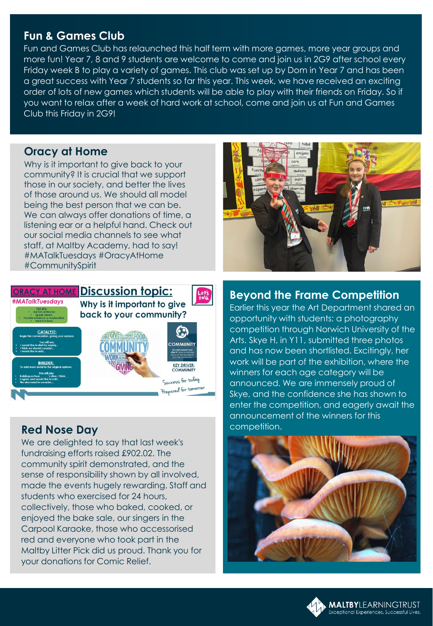## **Fun & Games Club**

Fun and Games Club has relaunched this half term with more games, more year groups and more fun! Year 7, 8 and 9 students are welcome to come and join us in 2G9 after school every Friday week B to play a variety of games. This club was set up by Dom in Year 7 and has been a great success with Year 7 students so far this year. This week, we have received an exciting order of lots of new games which students will be able to play with their friends on Friday. So if you want to relax after a week of hard work at school, come and join us at Fun and Games Club this Friday in 2G9!

#### **Oracy at Home**

Why is it important to give back to your community? It is crucial that we support those in our society, and better the lives of those around us. We should all model being the best person that we can be. We can always offer donations of time, a listening ear or a helpful hand. Check out our social media channels to see what staff, at Maltby Academy, had to say! #MATalkTuesdays #OracyAtHome #CommunitySpirit



## **Red Nose Day**

We are delighted to say that last week's fundraising efforts raised £902.02. The community spirit demonstrated, and the sense of responsibility shown by all involved, made the events hugely rewarding. Staff and students who exercised for 24 hours, collectively, those who baked, cooked, or enjoyed the bake sale, our singers in the Carpool Karaoke, those who accessorised red and everyone who took part in the Maltby Litter Pick did us proud. Thank you for your donations for Comic Relief.



## **Beyond the Frame Competition**

Earlier this year the Art Department shared an opportunity with students: a photography competition through Norwich University of the Arts. Skye H, in Y11, submitted three photos and has now been shortlisted. Excitingly, her work will be part of the exhibition, where the winners for each age category will be announced. We are immensely proud of Skye, and the confidence she has shown to enter the competition, and eagerly await the announcement of the winners for this competition.



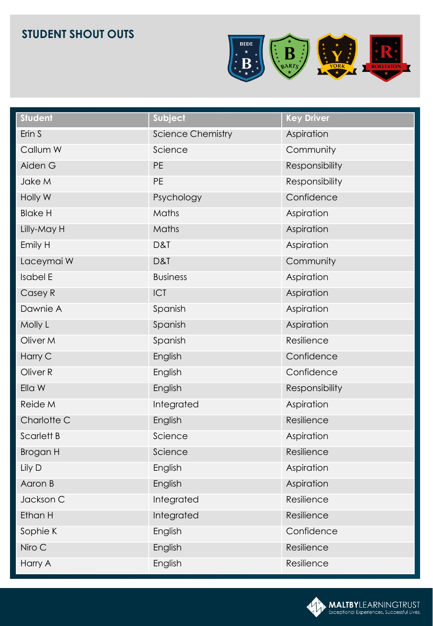

| <b>Student</b>      | Subject                  | <b>Key Driver</b> |
|---------------------|--------------------------|-------------------|
| Erin S              | <b>Science Chemistry</b> | Aspiration        |
| Callum W            | Science                  | Community         |
| Aiden G             | <b>PE</b>                | Responsibility    |
| Jake M              | PE                       | Responsibility    |
| Holly W             | Psychology               | Confidence        |
| <b>Blake H</b>      | Maths                    | Aspiration        |
| Lilly-May H         | Maths                    | Aspiration        |
| Emily H             | D&T                      | Aspiration        |
| Laceymai W          | D&T                      | Community         |
| <b>Isabel E</b>     | <b>Business</b>          | Aspiration        |
| Casey R             | ICT                      | Aspiration        |
| Dawnie A            | Spanish                  | Aspiration        |
| Molly L             | Spanish                  | Aspiration        |
| Oliver M            | Spanish                  | Resilience        |
| Harry C             | English                  | Confidence        |
| Oliver <sub>R</sub> | English                  | Confidence        |
| Ella W              | English                  | Responsibility    |
| Reide M             | Integrated               | Aspiration        |
| Charlotte C         | English                  | Resilience        |
| <b>Scarlett B</b>   | Science                  | Aspiration        |
| <b>Brogan H</b>     | Science                  | Resilience        |
| Lily D              | English                  | Aspiration        |
| Aaron B             | English                  | Aspiration        |
| Jackson C           | Integrated               | Resilience        |
| Ethan H             | Integrated               | Resilience        |
| Sophie K            | English                  | Confidence        |
| Niro C              | English                  | Resilience        |
| Harry A             | English                  | Resilience        |

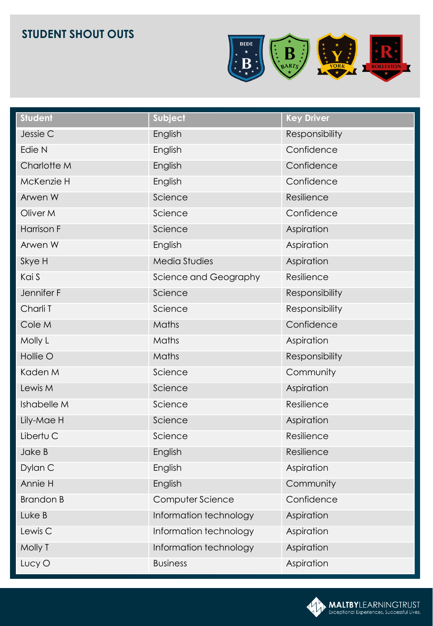

| <b>Student</b>     | Subject                | <b>Key Driver</b> |
|--------------------|------------------------|-------------------|
| Jessie C           | English                | Responsibility    |
| Edie N             | English                | Confidence        |
| Charlotte M        | English                | Confidence        |
| McKenzie H         | English                | Confidence        |
| Arwen W            | Science                | Resilience        |
| Oliver M           | Science                | Confidence        |
| <b>Harrison F</b>  | Science                | Aspiration        |
| Arwen W            | English                | Aspiration        |
| Skye H             | Media Studies          | Aspiration        |
| Kai S              | Science and Geography  | Resilience        |
| Jennifer F         | Science                | Responsibility    |
| Charli T           | Science                | Responsibility    |
| Cole M             | Maths                  | Confidence        |
| Molly L            | Maths                  | Aspiration        |
| Hollie O           | Maths                  | Responsibility    |
| Kaden M            | Science                | Community         |
| Lewis M            | Science                | Aspiration        |
| Ishabelle M        | Science                | Resilience        |
| Lily-Mae H         | Science                | Aspiration        |
| Libertu C          | Science                | Resilience        |
| Jake B             | English                | Resilience        |
| Dylan C            | English                | Aspiration        |
| Annie H            | English                | Community         |
| <b>Brandon B</b>   | Computer Science       | Confidence        |
| Luke B             | Information technology | Aspiration        |
| Lewis <sub>C</sub> | Information technology | Aspiration        |
| Molly T            | Information technology | Aspiration        |
| Lucy O             | <b>Business</b>        | Aspiration        |

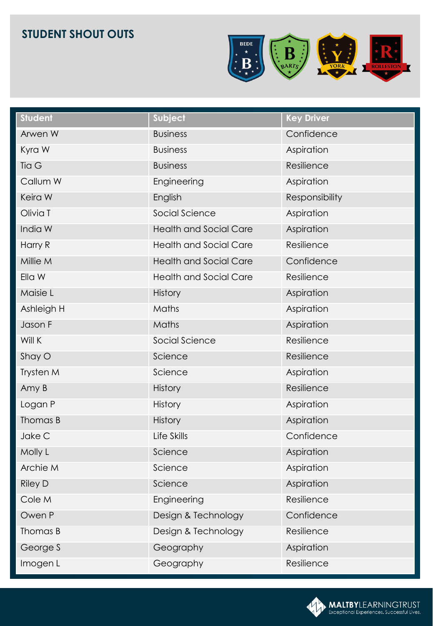

| <b>Student</b> | Subject                       | <b>Key Driver</b> |
|----------------|-------------------------------|-------------------|
| Arwen W        | <b>Business</b>               | Confidence        |
| Kyra W         | <b>Business</b>               | Aspiration        |
| Tia G          | <b>Business</b>               | Resilience        |
| Callum W       | Engineering                   | Aspiration        |
| Keira W        | English                       | Responsibility    |
| Olivia T       | Social Science                | Aspiration        |
| India W        | <b>Health and Social Care</b> | Aspiration        |
| Harry R        | <b>Health and Social Care</b> | Resilience        |
| Millie M       | <b>Health and Social Care</b> | Confidence        |
| Ella W         | <b>Health and Social Care</b> | Resilience        |
| Maisie L       | History                       | Aspiration        |
| Ashleigh H     | Maths                         | Aspiration        |
| Jason F        | Maths                         | Aspiration        |
| Will K         | Social Science                | Resilience        |
| Shay O         | Science                       | Resilience        |
| Trysten M      | Science                       | Aspiration        |
| Amy B          | <b>History</b>                | Resilience        |
| Logan P        | <b>History</b>                | Aspiration        |
| Thomas B       | <b>History</b>                | Aspiration        |
| Jake C         | Life Skills                   | Confidence        |
| Molly L        | Science                       | Aspiration        |
| Archie M       | Science                       | Aspiration        |
| <b>Riley D</b> | Science                       | Aspiration        |
| Cole M         | Engineering                   | Resilience        |
| Owen P         | Design & Technology           | Confidence        |
| Thomas B       | Design & Technology           | Resilience        |
| George S       | Geography                     | Aspiration        |
| Imogen L       | Geography                     | Resilience        |

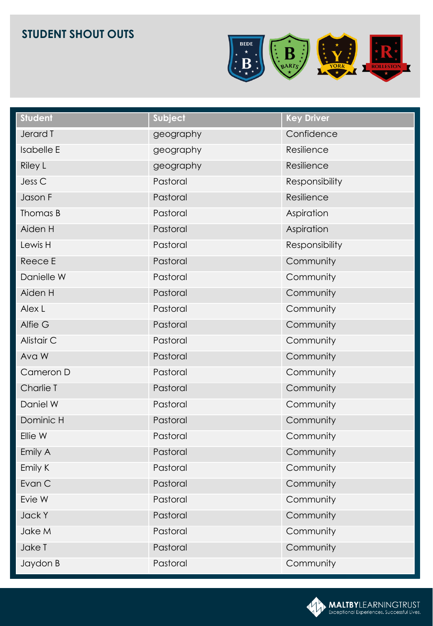

| <b>Student</b>    | Subject   | <b>Key Driver</b> |
|-------------------|-----------|-------------------|
| Jerard T          | geography | Confidence        |
| <b>Isabelle E</b> | geography | Resilience        |
| <b>Riley L</b>    | geography | Resilience        |
| Jess <sub>C</sub> | Pastoral  | Responsibility    |
| Jason F           | Pastoral  | Resilience        |
| Thomas B          | Pastoral  | Aspiration        |
| Aiden H           | Pastoral  | Aspiration        |
| Lewis H           | Pastoral  | Responsibility    |
| Reece E           | Pastoral  | Community         |
| Danielle W        | Pastoral  | Community         |
| Aiden H           | Pastoral  | Community         |
| Alex L            | Pastoral  | Community         |
| Alfie G           | Pastoral  | Community         |
| Alistair C        | Pastoral  | Community         |
| Ava W             | Pastoral  | Community         |
| Cameron D         | Pastoral  | Community         |
| Charlie T         | Pastoral  | Community         |
| Daniel W          | Pastoral  | Community         |
| Dominic H         | Pastoral  | Community         |
| Ellie W           | Pastoral  | Community         |
| Emily A           | Pastoral  | Community         |
| Emily K           | Pastoral  | Community         |
| Evan C            | Pastoral  | Community         |
| Evie W            | Pastoral  | Community         |
| Jack Y            | Pastoral  | Community         |
| Jake M            | Pastoral  | Community         |
| Jake T            | Pastoral  | Community         |
| Jaydon B          | Pastoral  | Community         |

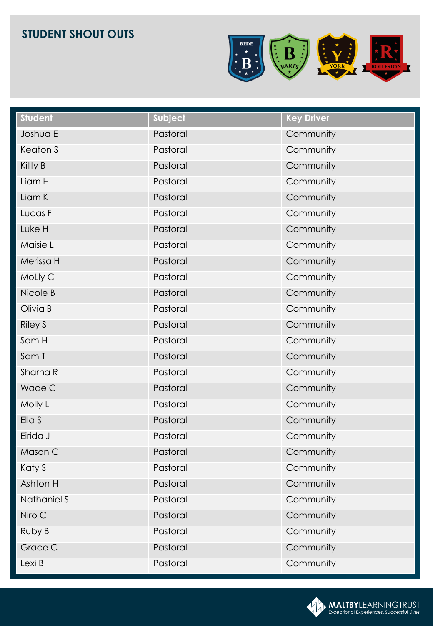

| <b>Student</b> | Subject  | <b>Key Driver</b> |
|----------------|----------|-------------------|
| Joshua E       | Pastoral | Community         |
| Keaton S       | Pastoral | Community         |
| Kitty B        | Pastoral | Community         |
| Liam H         | Pastoral | Community         |
| Liam K         | Pastoral | Community         |
| Lucas F        | Pastoral | Community         |
| Luke H         | Pastoral | Community         |
| Maisie L       | Pastoral | Community         |
| Merissa H      | Pastoral | Community         |
| MoLly C        | Pastoral | Community         |
| Nicole B       | Pastoral | Community         |
| Olivia B       | Pastoral | Community         |
| <b>Riley S</b> | Pastoral | Community         |
| Sam H          | Pastoral | Community         |
| Sam T          | Pastoral | Community         |
| Sharna R       | Pastoral | Community         |
| Wade C         | Pastoral | Community         |
| Molly L        | Pastoral | Community         |
| Ella S         | Pastoral | Community         |
| Eirida J       | Pastoral | Community         |
| Mason C        | Pastoral | Community         |
| Katy S         | Pastoral | Community         |
| Ashton H       | Pastoral | Community         |
| Nathaniel S    | Pastoral | Community         |
| Niro C         | Pastoral | Community         |
| Ruby B         | Pastoral | Community         |
| Grace C        | Pastoral | Community         |
| Lexi B         | Pastoral | Community         |